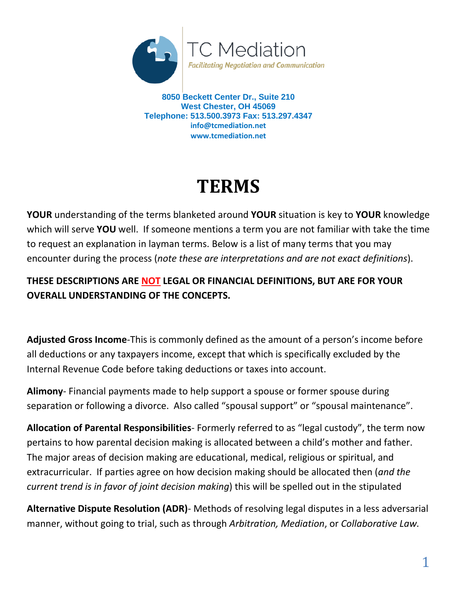

**8050 Beckett Center Dr., Suite 210 West Chester, OH 45069 Telephone: 513.500.3973 Fax: 513.297.4347 info@tcmediation.net www.tcmediation.net**

## **TERMS**

**YOUR** understanding of the terms blanketed around **YOUR** situation is key to **YOUR** knowledge which will serve **YOU** well. If someone mentions a term you are not familiar with take the time to request an explanation in layman terms. Below is a list of many terms that you may encounter during the process (*note these are interpretations and are not exact definitions*).

## **THESE DESCRIPTIONS ARE NOT LEGAL OR FINANCIAL DEFINITIONS, BUT ARE FOR YOUR OVERALL UNDERSTANDING OF THE CONCEPTS.**

**Adjusted Gross Income**-This is commonly defined as the amount of a person's income before all deductions or any taxpayers income, except that which is specifically excluded by the Internal Revenue Code before taking deductions or taxes into account.

**Alimony**- Financial payments made to help support a spouse or former spouse during separation or following a divorce. Also called "spousal support" or "spousal maintenance".

**Allocation of Parental Responsibilities**- Formerly referred to as "legal custody", the term now pertains to how parental decision making is allocated between a child's mother and father. The major areas of decision making are educational, medical, religious or spiritual, and extracurricular. If parties agree on how decision making should be allocated then (*and the current trend is in favor of joint decision making*) this will be spelled out in the stipulated

**Alternative Dispute Resolution (ADR)**- Methods of resolving legal disputes in a less adversarial manner, without going to trial, such as through *Arbitration, Mediation*, or *Collaborative Law.*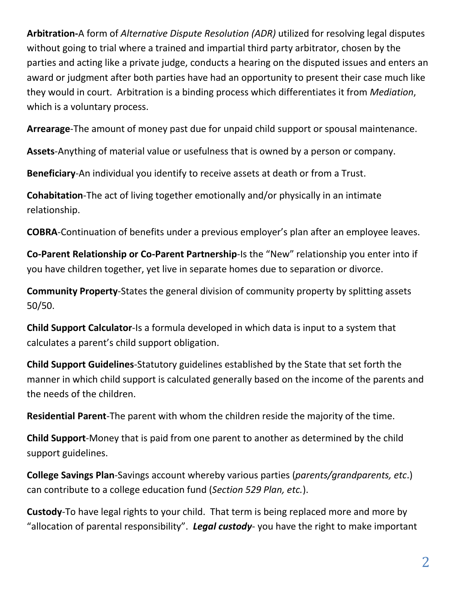**Arbitration-**A form of *Alternative Dispute Resolution (ADR)* utilized for resolving legal disputes without going to trial where a trained and impartial third party arbitrator, chosen by the parties and acting like a private judge, conducts a hearing on the disputed issues and enters an award or judgment after both parties have had an opportunity to present their case much like they would in court. Arbitration is a binding process which differentiates it from *Mediation*, which is a voluntary process.

**Arrearage**-The amount of money past due for unpaid child support or spousal maintenance.

**Assets**-Anything of material value or usefulness that is owned by a person or company.

**Beneficiary**-An individual you identify to receive assets at death or from a Trust.

**Cohabitation**-The act of living together emotionally and/or physically in an intimate relationship.

**COBRA**-Continuation of benefits under a previous employer's plan after an employee leaves.

**Co-Parent Relationship or Co-Parent Partnership**-Is the "New" relationship you enter into if you have children together, yet live in separate homes due to separation or divorce.

**Community Property**-States the general division of community property by splitting assets 50/50.

**Child Support Calculator**-Is a formula developed in which data is input to a system that calculates a parent's child support obligation.

**Child Support Guidelines**-Statutory guidelines established by the State that set forth the manner in which child support is calculated generally based on the income of the parents and the needs of the children.

**Residential Parent**-The parent with whom the children reside the majority of the time.

**Child Support**-Money that is paid from one parent to another as determined by the child support guidelines.

**College Savings Plan**-Savings account whereby various parties (*parents/grandparents, etc*.) can contribute to a college education fund (*Section 529 Plan, etc.*).

**Custody**-To have legal rights to your child. That term is being replaced more and more by "allocation of parental responsibility". *Legal custody*- you have the right to make important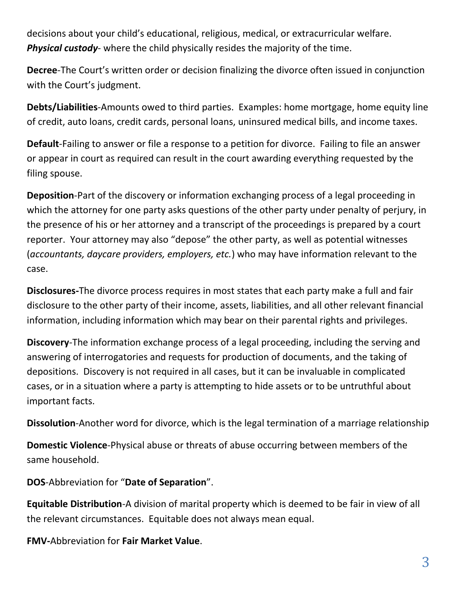decisions about your child's educational, religious, medical, or extracurricular welfare. *Physical custody*- where the child physically resides the majority of the time.

**Decree**-The Court's written order or decision finalizing the divorce often issued in conjunction with the Court's judgment.

**Debts/Liabilities**-Amounts owed to third parties. Examples: home mortgage, home equity line of credit, auto loans, credit cards, personal loans, uninsured medical bills, and income taxes.

**Default**-Failing to answer or file a response to a petition for divorce. Failing to file an answer or appear in court as required can result in the court awarding everything requested by the filing spouse.

**Deposition**-Part of the discovery or information exchanging process of a legal proceeding in which the attorney for one party asks questions of the other party under penalty of perjury, in the presence of his or her attorney and a transcript of the proceedings is prepared by a court reporter. Your attorney may also "depose" the other party, as well as potential witnesses (*accountants, daycare providers, employers, etc.*) who may have information relevant to the case.

**Disclosures-**The divorce process requires in most states that each party make a full and fair disclosure to the other party of their income, assets, liabilities, and all other relevant financial information, including information which may bear on their parental rights and privileges.

**Discovery**-The information exchange process of a legal proceeding, including the serving and answering of interrogatories and requests for production of documents, and the taking of depositions. Discovery is not required in all cases, but it can be invaluable in complicated cases, or in a situation where a party is attempting to hide assets or to be untruthful about important facts.

**Dissolution**-Another word for divorce, which is the legal termination of a marriage relationship

**Domestic Violence**-Physical abuse or threats of abuse occurring between members of the same household.

**DOS**-Abbreviation for "**Date of Separation**".

**Equitable Distribution**-A division of marital property which is deemed to be fair in view of all the relevant circumstances. Equitable does not always mean equal.

**FMV-**Abbreviation for **Fair Market Value**.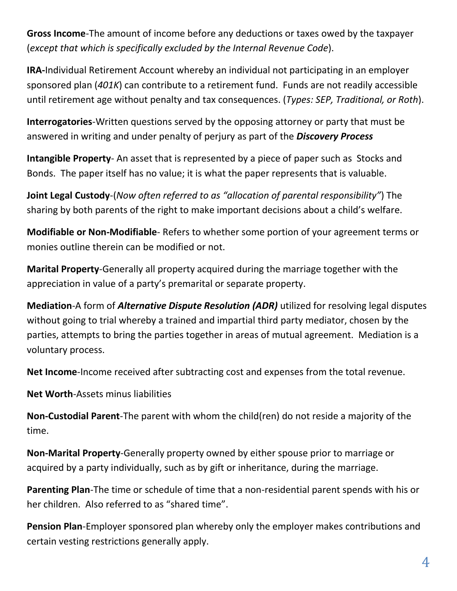**Gross Income**-The amount of income before any deductions or taxes owed by the taxpayer (*except that which is specifically excluded by the Internal Revenue Code*).

**IRA-**Individual Retirement Account whereby an individual not participating in an employer sponsored plan (*401K*) can contribute to a retirement fund. Funds are not readily accessible until retirement age without penalty and tax consequences. (*Types: SEP, Traditional, or Roth*).

**Interrogatories**-Written questions served by the opposing attorney or party that must be answered in writing and under penalty of perjury as part of the *Discovery Process*

**Intangible Property**- An asset that is represented by a piece of paper such as Stocks and Bonds. The paper itself has no value; it is what the paper represents that is valuable.

**Joint Legal Custody**-(*Now often referred to as "allocation of parental responsibility"*) The sharing by both parents of the right to make important decisions about a child's welfare.

**Modifiable or Non-Modifiable**- Refers to whether some portion of your agreement terms or monies outline therein can be modified or not.

**Marital Property**-Generally all property acquired during the marriage together with the appreciation in value of a party's premarital or separate property.

**Mediation**-A form of *Alternative Dispute Resolution (ADR)* utilized for resolving legal disputes without going to trial whereby a trained and impartial third party mediator, chosen by the parties, attempts to bring the parties together in areas of mutual agreement. Mediation is a voluntary process.

**Net Income**-Income received after subtracting cost and expenses from the total revenue.

**Net Worth**-Assets minus liabilities

**Non-Custodial Parent**-The parent with whom the child(ren) do not reside a majority of the time.

**Non-Marital Property**-Generally property owned by either spouse prior to marriage or acquired by a party individually, such as by gift or inheritance, during the marriage.

**Parenting Plan**-The time or schedule of time that a non-residential parent spends with his or her children. Also referred to as "shared time".

**Pension Plan**-Employer sponsored plan whereby only the employer makes contributions and certain vesting restrictions generally apply.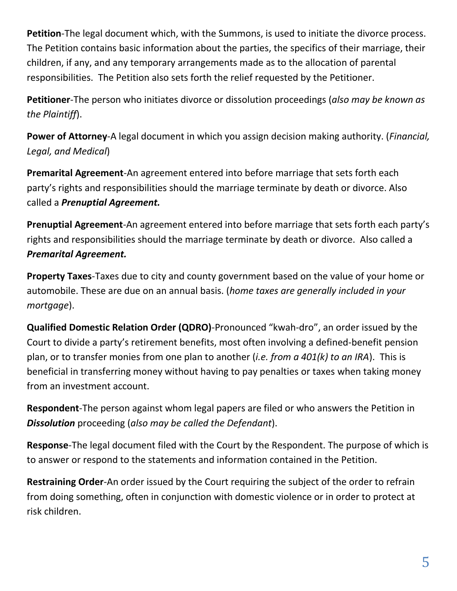**Petition**-The legal document which, with the Summons, is used to initiate the divorce process. The Petition contains basic information about the parties, the specifics of their marriage, their children, if any, and any temporary arrangements made as to the allocation of parental responsibilities. The Petition also sets forth the relief requested by the Petitioner.

**Petitioner**-The person who initiates divorce or dissolution proceedings (*also may be known as the Plaintiff*).

**Power of Attorney**-A legal document in which you assign decision making authority. (*Financial, Legal, and Medical*)

**Premarital Agreement**-An agreement entered into before marriage that sets forth each party's rights and responsibilities should the marriage terminate by death or divorce. Also called a *Prenuptial Agreement.*

**Prenuptial Agreement**-An agreement entered into before marriage that sets forth each party's rights and responsibilities should the marriage terminate by death or divorce. Also called a *Premarital Agreement.*

**Property Taxes**-Taxes due to city and county government based on the value of your home or automobile. These are due on an annual basis. (*home taxes are generally included in your mortgage*).

**Qualified Domestic Relation Order (QDRO)**-Pronounced "kwah-dro", an order issued by the Court to divide a party's retirement benefits, most often involving a defined-benefit pension plan, or to transfer monies from one plan to another (*i.e. from a 401(k) to an IRA*). This is beneficial in transferring money without having to pay penalties or taxes when taking money from an investment account.

**Respondent**-The person against whom legal papers are filed or who answers the Petition in *Dissolution* proceeding (*also may be called the Defendant*).

**Response**-The legal document filed with the Court by the Respondent. The purpose of which is to answer or respond to the statements and information contained in the Petition.

**Restraining Order**-An order issued by the Court requiring the subject of the order to refrain from doing something, often in conjunction with domestic violence or in order to protect at risk children.